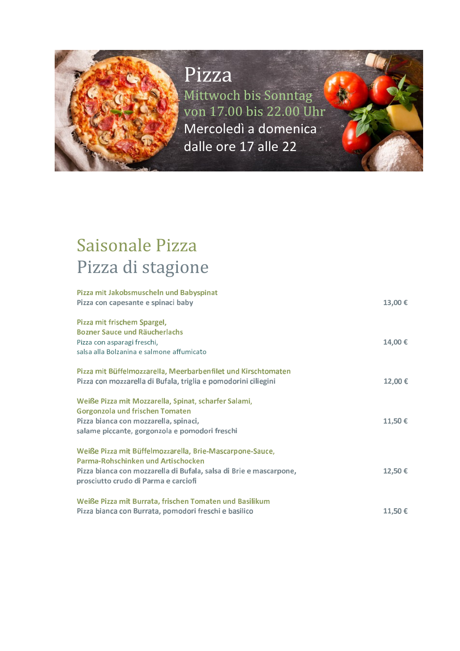### Pizza

Mittwoch bis Sonntag von 17.00 bis 22.00 Uhr Mercoledì a domenica dalle ore 17 alle 22

### **Saisonale Pizza** Pizza di stagione

| Pizza mit Jakobsmuscheln und Babyspinat<br>Pizza con capesante e spinaci baby                                                                                                                                | 13,00 € |
|--------------------------------------------------------------------------------------------------------------------------------------------------------------------------------------------------------------|---------|
| Pizza mit frischem Spargel,<br><b>Bozner Sauce und Räucherlachs</b><br>Pizza con asparagi freschi,<br>salsa alla Bolzanina e salmone affumicato                                                              | 14,00€  |
| Pizza mit Büffelmozzarella, Meerbarbenfilet und Kirschtomaten<br>Pizza con mozzarella di Bufala, triglia e pomodorini ciliegini                                                                              | 12,00€  |
| Weiße Pizza mit Mozzarella, Spinat, scharfer Salami,<br><b>Gorgonzola und frischen Tomaten</b><br>Pizza bianca con mozzarella, spinaci,<br>salame piccante, gorgonzola e pomodori freschi                    | 11,50€  |
| Weiße Pizza mit Büffelmozzarella, Brie-Mascarpone-Sauce,<br>Parma-Rohschinken und Artischocken<br>Pizza bianca con mozzarella di Bufala, salsa di Brie e mascarpone,<br>prosciutto crudo di Parma e carciofi | 12,50€  |
| Weiße Pizza mit Burrata, frischen Tomaten und Basilikum<br>Pizza bianca con Burrata, pomodori freschi e basilico                                                                                             | 11,50€  |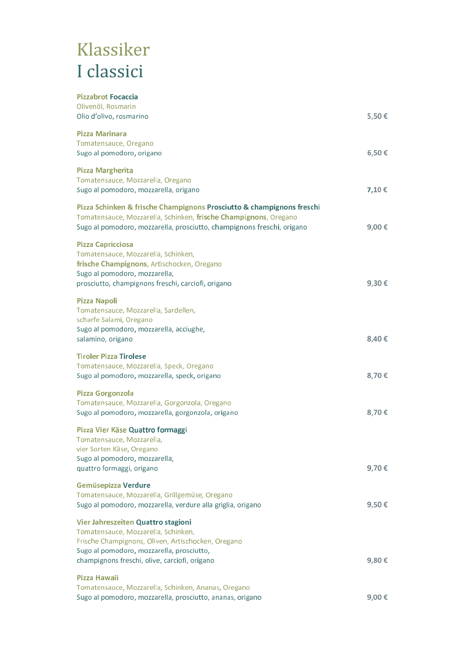# Klassiker I classici

| <b>Pizzabrot Focaccia</b><br>Olivenöl, Rosmarin<br>Olio d'olivo, rosmarino                                                                                                                                                    | 5,50€ |
|-------------------------------------------------------------------------------------------------------------------------------------------------------------------------------------------------------------------------------|-------|
| <b>Pizza Marinara</b><br>Tomatensauce, Oregano<br>Sugo al pomodoro, origano                                                                                                                                                   | 6,50€ |
| <b>Pizza Margherita</b><br>Tomatensauce, Mozzarella, Oregano<br>Sugo al pomodoro, mozzarella, origano                                                                                                                         | 7,10€ |
| Pizza Schinken & frische Champignons Prosciutto & champignons freschi<br>Tomatensauce, Mozzarella, Schinken, frische Champignons, Oregano<br>Sugo al pomodoro, mozzarella, prosciutto, champignons freschi, origano           | 9,00€ |
| <b>Pizza Capricciosa</b><br>Tomatensauce, Mozzarella, Schinken,<br>frische Champignons, Artischocken, Oregano<br>Sugo al pomodoro, mozzarella,<br>prosciutto, champignons freschi, carciofi, origano                          | 9,30€ |
| <b>Pizza Napoli</b><br>Tomatensauce, Mozzarella, Sardellen,<br>scharfe Salami, Oregano<br>Sugo al pomodoro, mozzarella, acciughe,<br>salamino, origano                                                                        | 8,40€ |
| <b>Tiroler Pizza Tirolese</b><br>Tomatensauce, Mozzarella, Speck, Oregano<br>Sugo al pomodoro, mozzarella, speck, origano                                                                                                     | 8,70€ |
| Pizza Gorgonzola<br>Tomatensauce, Mozzarella, Gorgonzola, Oregano<br>Sugo al pomodoro, mozzarella, gorgonzola, origano                                                                                                        | 8,70€ |
| Pizza Vier Käse Quattro formaggi<br>Tomatensauce, Mozzarella,<br>vier Sorten Käse, Oregano<br>Sugo al pomodoro, mozzarella,<br>quattro formaggi, origano                                                                      | 9,70€ |
| <b>Gemüsepizza Verdure</b><br>Tomatensauce, Mozzarella, Grillgemüse, Oregano<br>Sugo al pomodoro, mozzarella, verdure alla griglia, origano                                                                                   | 9,50€ |
| Vier Jahreszeiten Quattro stagioni<br>Tomatensauce, Mozzarella, Schinken,<br>Frische Champignons, Oliven, Artischocken, Oregano<br>Sugo al pomodoro, mozzarella, prosciutto,<br>champignons freschi, olive, carciofi, origano | 9,80€ |
| Pizza Hawaii<br>Tomatensauce, Mozzarella, Schinken, Ananas, Oregano<br>Sugo al pomodoro, mozzarella, prosciutto, ananas, origano                                                                                              | 9,00€ |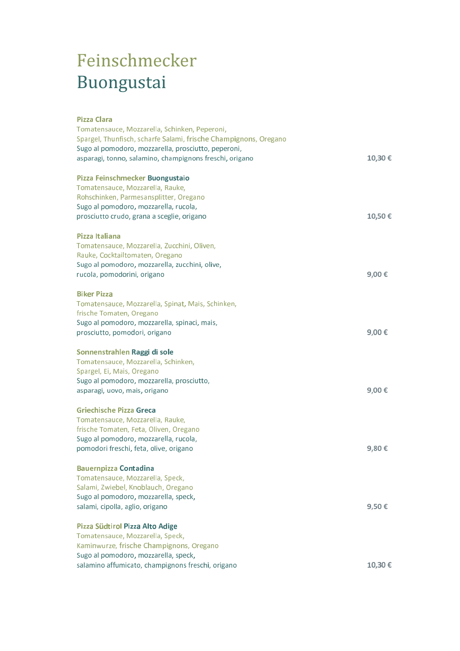# Feinschmecker Buongustai

#### **Pizza Clara**

| Tomatensauce, Mozzarella, Schinken, Peperoni,                    |        |
|------------------------------------------------------------------|--------|
| Spargel, Thunfisch, scharfe Salami, frische Champignons, Oregano |        |
| Sugo al pomodoro, mozzarella, prosciutto, peperoni,              |        |
| asparagi, tonno, salamino, champignons freschi, origano          | 10,30€ |
| Pizza Feinschmecker Buongustaio                                  |        |
| Tomatensauce, Mozzarella, Rauke,                                 |        |
| Rohschinken, Parmesansplitter, Oregano                           |        |
| Sugo al pomodoro, mozzarella, rucola,                            |        |
| prosciutto crudo, grana a sceglie, origano                       | 10,50€ |
| Pizza Italiana                                                   |        |
| Tomatensauce, Mozzarella, Zucchini, Oliven,                      |        |
| Rauke, Cocktailtomaten, Oregano                                  |        |
| Sugo al pomodoro, mozzarella, zucchini, olive,                   |        |
| rucola, pomodorini, origano                                      | 9,00€  |
| <b>Biker Pizza</b>                                               |        |
| Tomatensauce, Mozzarella, Spinat, Mais, Schinken,                |        |
| frische Tomaten, Oregano                                         |        |
| Sugo al pomodoro, mozzarella, spinaci, mais,                     |        |
| prosciutto, pomodori, origano                                    | 9,00€  |
| Sonnenstrahlen Raggi di sole                                     |        |
| Tomatensauce, Mozzarella, Schinken,                              |        |
| Spargel, Ei, Mais, Oregano                                       |        |
| Sugo al pomodoro, mozzarella, prosciutto,                        |        |
| asparagi, uovo, mais, origano                                    | 9,00€  |
| <b>Griechische Pizza Greca</b>                                   |        |
| Tomatensauce, Mozzarella, Rauke,                                 |        |
| frische Tomaten, Feta, Oliven, Oregano                           |        |
| Sugo al pomodoro, mozzarella, rucola,                            |        |
| pomodori freschi, feta, olive, origano                           | 9,80€  |
| <b>Bauernpizza Contadina</b>                                     |        |
| Tomatensauce, Mozzarella, Speck,                                 |        |
| Salami, Zwiebel, Knoblauch, Oregano                              |        |
| Sugo al pomodoro, mozzarella, speck,                             |        |
| salami, cipolla, aglio, origano                                  | 9,50€  |
| Pizza Südtirol Pizza Alto Adige                                  |        |
| Tomatensauce, Mozzarella, Speck,                                 |        |
| Kaminwurze, frische Champignons, Oregano                         |        |
| Sugo al pomodoro, mozzarella, speck,                             |        |
| salamino affumicato, champignons freschi, origano                | 10,30€ |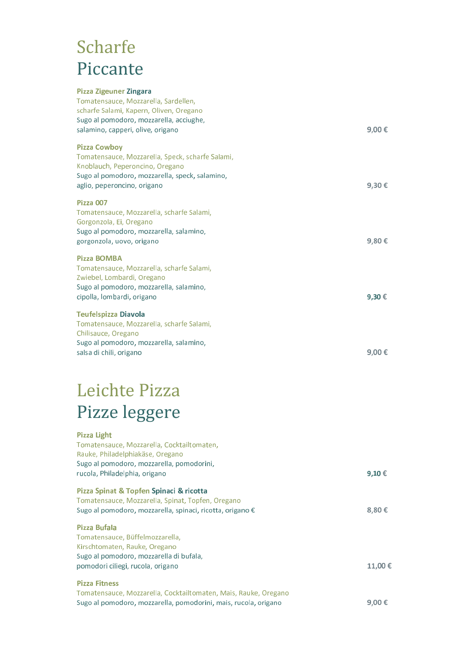## **Scharfe** Piccante

| <b>Pizza Zigeuner Zingara</b><br>Tomatensauce, Mozzarella, Sardellen,<br>scharfe Salami, Kapern, Oliven, Oregano<br>Sugo al pomodoro, mozzarella, acciughe,<br>salamino, capperi, olive, origano | 9,00€ |
|--------------------------------------------------------------------------------------------------------------------------------------------------------------------------------------------------|-------|
| <b>Pizza Cowboy</b><br>Tomatensauce, Mozzarella, Speck, scharfe Salami,<br>Knoblauch, Peperoncino, Oregano<br>Sugo al pomodoro, mozzarella, speck, salamino,<br>aglio, peperoncino, origano      | 9,30€ |
| Pizza 007<br>Tomatensauce, Mozzarella, scharfe Salami,<br>Gorgonzola, Ei, Oregano<br>Sugo al pomodoro, mozzarella, salamino,<br>gorgonzola, uovo, origano                                        | 9,80€ |
| <b>Pizza BOMBA</b><br>Tomatensauce, Mozzarella, scharfe Salami,<br>Zwiebel, Lombardi, Oregano<br>Sugo al pomodoro, mozzarella, salamino,<br>cipolla, lombardi, origano                           | 9,30€ |
| <b>Teufelspizza Diavola</b><br>Tomatensauce, Mozzarella, scharfe Salami,<br>Chilisauce, Oregano<br>Sugo al pomodoro, mozzarella, salamino,<br>salsa di chili, origano                            | 9.00€ |

# Leichte Pizza Pizze leggere

#### **Pizza Light**

| Tomatensauce, Mozzarella, Cocktailtomaten,                      |        |
|-----------------------------------------------------------------|--------|
| Rauke, Philadelphiakäse, Oregano                                |        |
| Sugo al pomodoro, mozzarella, pomodorini,                       |        |
| rucola, Philadelphia, origano                                   | 9,10€  |
|                                                                 |        |
| Pizza Spinat & Topfen Spinaci & ricotta                         |        |
| Tomatensauce, Mozzarella, Spinat, Topfen, Oregano               |        |
| Sugo al pomodoro, mozzarella, spinaci, ricotta, origano €       | 8,80€  |
| Pizza Bufala                                                    |        |
| Tomatensauce, Büffelmozzarella,                                 |        |
| Kirschtomaten, Rauke, Oregano                                   |        |
| Sugo al pomodoro, mozzarella di bufala,                         |        |
| pomodori ciliegi, rucola, origano                               | 11.00€ |
|                                                                 |        |
| <b>Pizza Fitness</b>                                            |        |
| Tomatensauce, Mozzarella, Cocktailtomaten, Mais, Rauke, Oregano |        |
| Sugo al pomodoro, mozzarella, pomodorini, mais, rucola, origano | 9.00€  |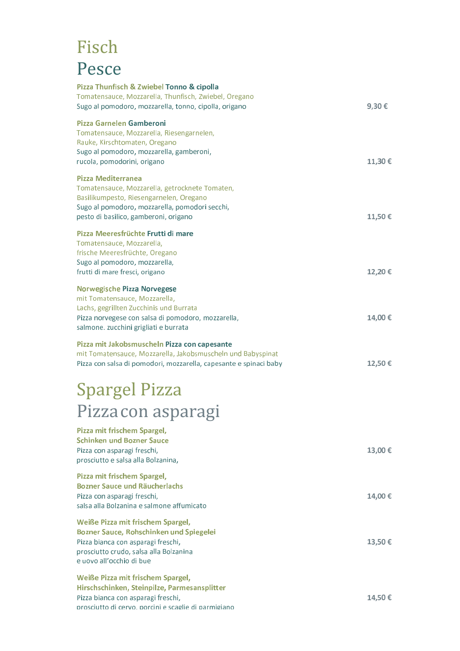### Fisch Pesce

| Pizza Thunfisch & Zwiebel Tonno & cipolla<br>Tomatensauce, Mozzarella, Thunfisch, Zwiebel, Oregano<br>Sugo al pomodoro, mozzarella, tonno, cipolla, origano                                                   | 9,30€  |
|---------------------------------------------------------------------------------------------------------------------------------------------------------------------------------------------------------------|--------|
| Pizza Garnelen Gamberoni<br>Tomatensauce, Mozzarella, Riesengarnelen,<br>Rauke, Kirschtomaten, Oregano<br>Sugo al pomodoro, mozzarella, gamberoni,<br>rucola, pomodorini, origano                             | 11,30€ |
| Pizza Mediterranea<br>Tomatensauce, Mozzarella, getrocknete Tomaten,<br>Basilikumpesto, Riesengarnelen, Oregano<br>Sugo al pomodoro, mozzarella, pomodori secchi,<br>pesto di basilico, gamberoni, origano    | 11,50€ |
| Pizza Meeresfrüchte Frutti di mare<br>Tomatensauce, Mozzarella,<br>frische Meeresfrüchte, Oregano<br>Sugo al pomodoro, mozzarella,<br>frutti di mare fresci, origano                                          | 12,20€ |
| <b>Norwegische Pizza Norvegese</b><br>mit Tomatensauce, Mozzarella,<br>Lachs, gegrillten Zucchinis und Burrata<br>Pizza norvegese con salsa di pomodoro, mozzarella,<br>salmone. zucchini grigliati e burrata | 14,00€ |
| Pizza mit Jakobsmuscheln Pizza con capesante<br>mit Tomatensauce, Mozzarella, Jakobsmuscheln und Babyspinat<br>Pizza con salsa di pomodori, mozzarella, capesante e spinaci baby                              | 12,50€ |
| <b>Spargel Pizza</b>                                                                                                                                                                                          |        |
| Pizza con asparagi                                                                                                                                                                                            |        |
| Pizza mit frischem Spargel,<br><b>Schinken und Bozner Sauce</b><br>Pizza con asparagi freschi,<br>prosciutto e salsa alla Bolzanina,                                                                          | 13,00€ |
| Pizza mit frischem Spargel,<br><b>Bozner Sauce und Räucherlachs</b><br>Pizza con asparagi freschi,<br>salsa alla Bolzanina e salmone affumicato                                                               | 14,00€ |
| Weiße Pizza mit frischem Spargel,<br>Bozner Sauce, Rohschinken und Spiegelei<br>Pizza bianca con asparagi freschi,<br>prosciutto crudo, salsa alla Bolzanina<br>e uovo all'occhio di bue                      | 13,50€ |
| Weiße Pizza mit frischem Spargel,<br>Hirschschinken, Steinpilze, Parmesansplitter<br>Pizza bianca con asparagi freschi,<br>prosciutto di cervo. porcini e scaglie di parmigiano                               | 14,50€ |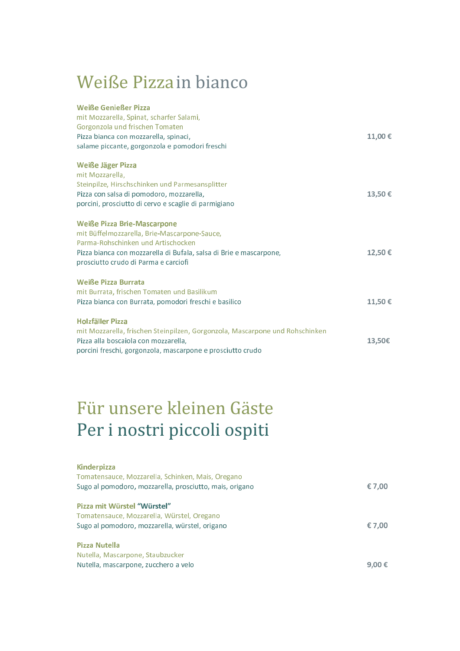### Weiße Pizza in bianco

| <b>Weiße Genießer Pizza</b><br>mit Mozzarella, Spinat, scharfer Salami,<br>Gorgonzola und frischen Tomaten<br>Pizza bianca con mozzarella, spinaci,<br>salame piccante, gorgonzola e pomodori freschi                                  | 11,00€ |
|----------------------------------------------------------------------------------------------------------------------------------------------------------------------------------------------------------------------------------------|--------|
| <b>Weiße Jäger Pizza</b><br>mit Mozzarella.<br>Steinpilze, Hirschschinken und Parmesansplitter<br>Pizza con salsa di pomodoro, mozzarella,<br>porcini, prosciutto di cervo e scaglie di parmigiano                                     | 13,50€ |
| <b>Weiße Pizza Brie-Mascarpone</b><br>mit Büffelmozzarella, Brie-Mascarpone-Sauce,<br>Parma-Rohschinken und Artischocken<br>Pizza bianca con mozzarella di Bufala, salsa di Brie e mascarpone,<br>prosciutto crudo di Parma e carciofi | 12,50€ |
| <b>Weiße Pizza Burrata</b><br>mit Burrata, frischen Tomaten und Basilikum<br>Pizza bianca con Burrata, pomodori freschi e basilico                                                                                                     | 11,50€ |
| <b>Holzfäller Pizza</b><br>mit Mozzarella, frischen Steinpilzen, Gorgonzola, Mascarpone und Rohschinken<br>Pizza alla boscaiola con mozzarella,<br>porcini freschi, gorgonzola, mascarpone e prosciutto crudo                          | 13,50€ |

# Für unsere kleinen Gäste Per i nostri piccoli ospiti

| <b>Kinderpizza</b>                                      |        |
|---------------------------------------------------------|--------|
| Tomatensauce, Mozzarella, Schinken, Mais, Oregano       |        |
| Sugo al pomodoro, mozzarella, prosciutto, mais, origano | € 7,00 |
| Pizza mit Würstel "Würstel"                             |        |
| Tomatensauce, Mozzarella, Würstel, Oregano              |        |
| Sugo al pomodoro, mozzarella, würstel, origano          | € 7,00 |
| Pizza Nutella                                           |        |
| Nutella, Mascarpone, Staubzucker                        |        |
| Nutella, mascarpone, zucchero a velo                    | 9.00 € |
|                                                         |        |